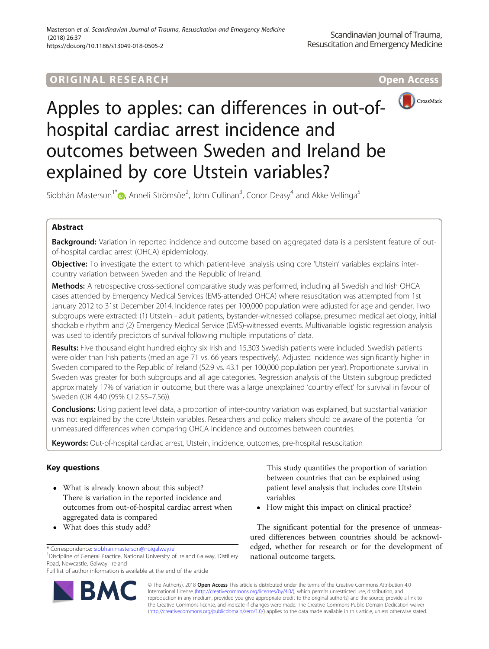# ORIGINAL RESEARCH **CONTRACT CONTRACT CONTRACT CONTRACT CONTRACT CONTRACT CONTRACT CONTRACT CONTRACT CONTRACT CONTRACT CONTRACT CONTRACT CONTRACT CONTRACT CONTRACT CONTRACT CONTRACT CONTRACT CONTRACT CONTRACT CONTRACT CONTR**



# Apples to apples: can differences in out-ofhospital cardiac arrest incidence and outcomes between Sweden and Ireland be explained by core Utstein variables?

Siobhán Masterson<sup>1[\\*](http://orcid.org/0000-0002-3003-4792)</sup> (@, Anneli Strömsöe<sup>2</sup>, John Cullinan<sup>3</sup>, Conor Deasy<sup>4</sup> and Akke Vellinga<sup>5</sup>

# Abstract

Background: Variation in reported incidence and outcome based on aggregated data is a persistent feature of outof-hospital cardiac arrest (OHCA) epidemiology.

Objective: To investigate the extent to which patient-level analysis using core 'Utstein' variables explains intercountry variation between Sweden and the Republic of Ireland.

Methods: A retrospective cross-sectional comparative study was performed, including all Swedish and Irish OHCA cases attended by Emergency Medical Services (EMS-attended OHCA) where resuscitation was attempted from 1st January 2012 to 31st December 2014. Incidence rates per 100,000 population were adjusted for age and gender. Two subgroups were extracted: (1) Utstein - adult patients, bystander-witnessed collapse, presumed medical aetiology, initial shockable rhythm and (2) Emergency Medical Service (EMS)-witnessed events. Multivariable logistic regression analysis was used to identify predictors of survival following multiple imputations of data.

Results: Five thousand eight hundred eighty six Irish and 15,303 Swedish patients were included. Swedish patients were older than Irish patients (median age 71 vs. 66 years respectively). Adjusted incidence was significantly higher in Sweden compared to the Republic of Ireland (52.9 vs. 43.1 per 100,000 population per year). Proportionate survival in Sweden was greater for both subgroups and all age categories. Regression analysis of the Utstein subgroup predicted approximately 17% of variation in outcome, but there was a large unexplained 'country effect' for survival in favour of Sweden (OR 4.40 (95% CI 2.55–7.56)).

Conclusions: Using patient level data, a proportion of inter-country variation was explained, but substantial variation was not explained by the core Utstein variables. Researchers and policy makers should be aware of the potential for unmeasured differences when comparing OHCA incidence and outcomes between countries.

Keywords: Out-of-hospital cardiac arrest, Utstein, incidence, outcomes, pre-hospital resuscitation

# Key questions

- What is already known about this subject? There is variation in the reported incidence and outcomes from out-of-hospital cardiac arrest when aggregated data is compared
- What does this study add?

<sup>1</sup> Discipline of General Practice, National University of Ireland Galway, Distillery Road, Newcastle, Galway, Ireland

Full list of author information is available at the end of the article



This study quantifies the proportion of variation between countries that can be explained using patient level analysis that includes core Utstein variables

• How might this impact on clinical practice?

The significant potential for the presence of unmeasured differences between countries should be acknowledged, whether for research or for the development of national outcome targets.

© The Author(s). 2018 Open Access This article is distributed under the terms of the Creative Commons Attribution 4.0 International License [\(http://creativecommons.org/licenses/by/4.0/](http://creativecommons.org/licenses/by/4.0/)), which permits unrestricted use, distribution, and reproduction in any medium, provided you give appropriate credit to the original author(s) and the source, provide a link to the Creative Commons license, and indicate if changes were made. The Creative Commons Public Domain Dedication waiver [\(http://creativecommons.org/publicdomain/zero/1.0/](http://creativecommons.org/publicdomain/zero/1.0/)) applies to the data made available in this article, unless otherwise stated.

<sup>\*</sup> Correspondence: [siobhan.masterson@nuigalway.ie](mailto:siobhan.masterson@nuigalway.ie) <sup>1</sup>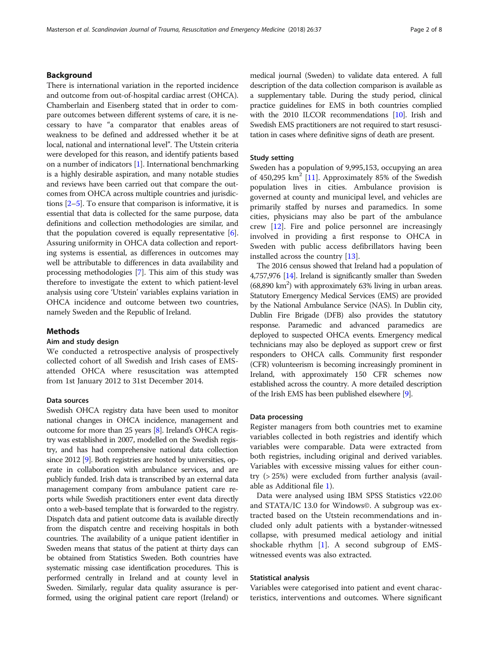# Background

There is international variation in the reported incidence and outcome from out-of-hospital cardiac arrest (OHCA). Chamberlain and Eisenberg stated that in order to compare outcomes between different systems of care, it is necessary to have "a comparator that enables areas of weakness to be defined and addressed whether it be at local, national and international level". The Utstein criteria were developed for this reason, and identify patients based on a number of indicators [\[1\]](#page-6-0). International benchmarking is a highly desirable aspiration, and many notable studies and reviews have been carried out that compare the outcomes from OHCA across multiple countries and jurisdictions [\[2](#page-6-0)–[5\]](#page-6-0). To ensure that comparison is informative, it is essential that data is collected for the same purpose, data definitions and collection methodologies are similar, and that the population covered is equally representative  $[6]$  $[6]$  $[6]$ . Assuring uniformity in OHCA data collection and reporting systems is essential, as differences in outcomes may well be attributable to differences in data availability and processing methodologies [[7](#page-6-0)]. This aim of this study was therefore to investigate the extent to which patient-level analysis using core 'Utstein' variables explains variation in OHCA incidence and outcome between two countries, namely Sweden and the Republic of Ireland.

### Methods

#### Aim and study design

We conducted a retrospective analysis of prospectively collected cohort of all Swedish and Irish cases of EMSattended OHCA where resuscitation was attempted from 1st January 2012 to 31st December 2014.

## Data sources

Swedish OHCA registry data have been used to monitor national changes in OHCA incidence, management and outcome for more than 25 years [[8](#page-6-0)]. Ireland's OHCA registry was established in 2007, modelled on the Swedish registry, and has had comprehensive national data collection since 2012 [\[9\]](#page-6-0). Both registries are hosted by universities, operate in collaboration with ambulance services, and are publicly funded. Irish data is transcribed by an external data management company from ambulance patient care reports while Swedish practitioners enter event data directly onto a web-based template that is forwarded to the registry. Dispatch data and patient outcome data is available directly from the dispatch centre and receiving hospitals in both countries. The availability of a unique patient identifier in Sweden means that status of the patient at thirty days can be obtained from Statistics Sweden. Both countries have systematic missing case identification procedures. This is performed centrally in Ireland and at county level in Sweden. Similarly, regular data quality assurance is performed, using the original patient care report (Ireland) or medical journal (Sweden) to validate data entered. A full description of the data collection comparison is available as a supplementary table. During the study period, clinical practice guidelines for EMS in both countries complied with the 2010 ILCOR recommendations [\[10\]](#page-6-0). Irish and Swedish EMS practitioners are not required to start resuscitation in cases where definitive signs of death are present.

### Study setting

Sweden has a population of 9,995,153, occupying an area of 450,295  $km^2$  [[11\]](#page-6-0). Approximately 85% of the Swedish population lives in cities. Ambulance provision is governed at county and municipal level, and vehicles are primarily staffed by nurses and paramedics. In some cities, physicians may also be part of the ambulance crew [\[12\]](#page-6-0). Fire and police personnel are increasingly involved in providing a first response to OHCA in Sweden with public access defibrillators having been installed across the country [\[13](#page-6-0)].

The 2016 census showed that Ireland had a population of 4,757,976 [\[14](#page-6-0)]. Ireland is significantly smaller than Sweden  $(68,890 \text{ km}^2)$  with approximately  $63\%$  living in urban areas. Statutory Emergency Medical Services (EMS) are provided by the National Ambulance Service (NAS). In Dublin city, Dublin Fire Brigade (DFB) also provides the statutory response. Paramedic and advanced paramedics are deployed to suspected OHCA events. Emergency medical technicians may also be deployed as support crew or first responders to OHCA calls. Community first responder (CFR) volunteerism is becoming increasingly prominent in Ireland, with approximately 150 CFR schemes now established across the country. A more detailed description of the Irish EMS has been published elsewhere [\[9\]](#page-6-0).

#### Data processing

Register managers from both countries met to examine variables collected in both registries and identify which variables were comparable. Data were extracted from both registries, including original and derived variables. Variables with excessive missing values for either country (> 25%) were excluded from further analysis (available as Additional file [1\)](#page-6-0).

Data were analysed using IBM SPSS Statistics v22.0© and STATA/IC 13.0 for Windows©. A subgroup was extracted based on the Utstein recommendations and included only adult patients with a bystander-witnessed collapse, with presumed medical aetiology and initial shockable rhythm [[1\]](#page-6-0). A second subgroup of EMSwitnessed events was also extracted.

#### Statistical analysis

Variables were categorised into patient and event characteristics, interventions and outcomes. Where significant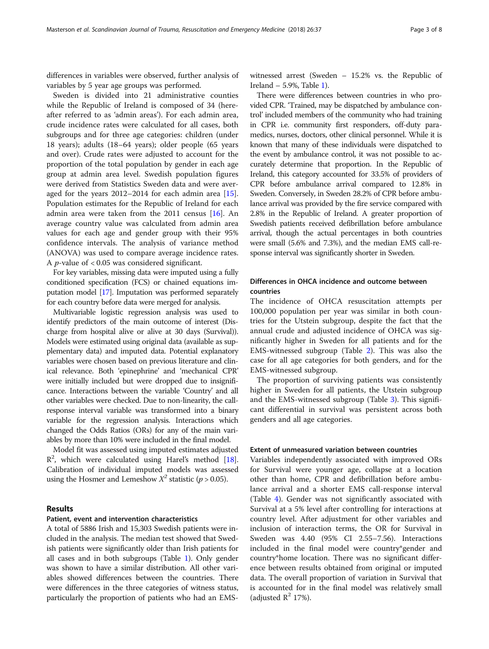differences in variables were observed, further analysis of variables by 5 year age groups was performed.

Sweden is divided into 21 administrative counties while the Republic of Ireland is composed of 34 (hereafter referred to as 'admin areas'). For each admin area, crude incidence rates were calculated for all cases, both subgroups and for three age categories: children (under 18 years); adults (18–64 years); older people (65 years and over). Crude rates were adjusted to account for the proportion of the total population by gender in each age group at admin area level. Swedish population figures were derived from Statistics Sweden data and were averaged for the years 2012–2014 for each admin area [\[15](#page-6-0)]. Population estimates for the Republic of Ireland for each admin area were taken from the 2011 census  $[16]$  $[16]$  $[16]$ . An average country value was calculated from admin area values for each age and gender group with their 95% confidence intervals. The analysis of variance method (ANOVA) was used to compare average incidence rates. A *p*-value of  $< 0.05$  was considered significant.

For key variables, missing data were imputed using a fully conditioned specification (FCS) or chained equations imputation model [\[17](#page-6-0)]. Imputation was performed separately for each country before data were merged for analysis.

Multivariable logistic regression analysis was used to identify predictors of the main outcome of interest (Discharge from hospital alive or alive at 30 days (Survival)). Models were estimated using original data (available as supplementary data) and imputed data. Potential explanatory variables were chosen based on previous literature and clinical relevance. Both 'epinephrine' and 'mechanical CPR' were initially included but were dropped due to insignificance. Interactions between the variable 'Country' and all other variables were checked. Due to non-linearity, the callresponse interval variable was transformed into a binary variable for the regression analysis. Interactions which changed the Odds Ratios (ORs) for any of the main variables by more than 10% were included in the final model.

Model fit was assessed using imputed estimates adjusted  $R<sup>2</sup>$ , which were calculated using Harel's method [[18](#page-6-0)]. Calibration of individual imputed models was assessed using the Hosmer and Lemeshow  $X^2$  statistic ( $p > 0.05$ ).

# Results

### Patient, event and intervention characteristics

A total of 5886 Irish and 15,303 Swedish patients were included in the analysis. The median test showed that Swedish patients were significantly older than Irish patients for all cases and in both subgroups (Table [1](#page-3-0)). Only gender was shown to have a similar distribution. All other variables showed differences between the countries. There were differences in the three categories of witness status, particularly the proportion of patients who had an EMS-

witnessed arrest (Sweden – 15.2% vs. the Republic of Ireland  $-5.9%$ , Table [1\)](#page-3-0).

There were differences between countries in who provided CPR. 'Trained, may be dispatched by ambulance control' included members of the community who had training in CPR i.e. community first responders, off-duty paramedics, nurses, doctors, other clinical personnel. While it is known that many of these individuals were dispatched to the event by ambulance control, it was not possible to accurately determine that proportion. In the Republic of Ireland, this category accounted for 33.5% of providers of CPR before ambulance arrival compared to 12.8% in Sweden. Conversely, in Sweden 28.2% of CPR before ambulance arrival was provided by the fire service compared with 2.8% in the Republic of Ireland. A greater proportion of Swedish patients received defibrillation before ambulance arrival, though the actual percentages in both countries were small (5.6% and 7.3%), and the median EMS call-response interval was significantly shorter in Sweden.

# Differences in OHCA incidence and outcome between countries

The incidence of OHCA resuscitation attempts per 100,000 population per year was similar in both countries for the Utstein subgroup, despite the fact that the annual crude and adjusted incidence of OHCA was significantly higher in Sweden for all patients and for the EMS-witnessed subgroup (Table [2](#page-4-0)). This was also the case for all age categories for both genders, and for the EMS-witnessed subgroup.

The proportion of surviving patients was consistently higher in Sweden for all patients, the Utstein subgroup and the EMS-witnessed subgroup (Table [3\)](#page-4-0). This significant differential in survival was persistent across both genders and all age categories.

#### Extent of unmeasured variation between countries

Variables independently associated with improved ORs for Survival were younger age, collapse at a location other than home, CPR and defibrillation before ambulance arrival and a shorter EMS call-response interval (Table [4](#page-5-0)). Gender was not significantly associated with Survival at a 5% level after controlling for interactions at country level. After adjustment for other variables and inclusion of interaction terms, the OR for Survival in Sweden was 4.40 (95% CI 2.55–7.56). Interactions included in the final model were country\*gender and country\*home location. There was no significant difference between results obtained from original or imputed data. The overall proportion of variation in Survival that is accounted for in the final model was relatively small (adjusted  $\mathbb{R}^2$  17%).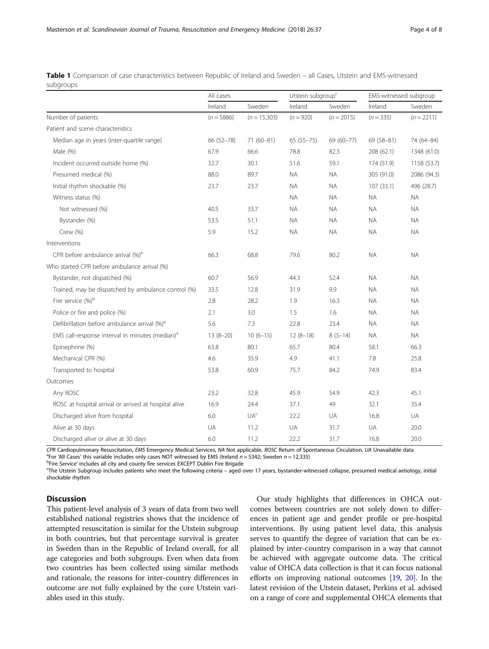|                                                             | All cases    |                 | Utstein subgroup <sup>c</sup> |              | EMS-witnessed subgroup |              |
|-------------------------------------------------------------|--------------|-----------------|-------------------------------|--------------|------------------------|--------------|
|                                                             | Ireland      | Sweden          | Ireland                       | Sweden       | Ireland                | Sweden       |
| Number of patients                                          | $(n = 5886)$ | $(n = 15,303)$  | $(n = 920)$                   | $(n = 2015)$ | $(n = 335)$            | $(n = 2211)$ |
| Patient and scene characteristics                           |              |                 |                               |              |                        |              |
| Median age in years (inter-quartile range)                  | 66 (52-78)   | $71(60-81)$     | $65(55 - 75)$                 | 69 (60-77)   | 69 (58-81)             | 74 (64-84)   |
| Male (%)                                                    | 67.9         | 66.6            | 78.8                          | 82.3         | 208 (62.1)             | 1348 (61.0)  |
| Incident occurred outside home (%)                          | 32.7         | 30.1            | 51.6                          | 59.1         | 174 (51.9)             | 1158 (53.7)  |
| Presumed medical (%)                                        | 88.0         | 89.7            | <b>NA</b>                     | <b>NA</b>    | 305 (91.0)             | 2086 (94.3)  |
| Initial rhythm shockable (%)                                | 23.7         | 23.7            | <b>NA</b>                     | <b>NA</b>    | 107(33.1)              | 496 (28.7)   |
| Witness status (%)                                          |              |                 | <b>NA</b>                     | <b>NA</b>    | <b>NA</b>              | <b>NA</b>    |
| Not witnessed (%)                                           | 40.5         | 33.7            | <b>NA</b>                     | <b>NA</b>    | <b>NA</b>              | <b>NA</b>    |
| Bystander (%)                                               | 53.5         | 51.1            | <b>NA</b>                     | <b>NA</b>    | <b>NA</b>              | <b>NA</b>    |
| Crew (%)                                                    | 5.9          | 15.2            | <b>NA</b>                     | <b>NA</b>    | <b>NA</b>              | <b>NA</b>    |
| Interventions                                               |              |                 |                               |              |                        |              |
| CPR before ambulance arrival (%) <sup>a</sup>               | 66.3         | 68.8            | 79.6                          | 80.2         | <b>NA</b>              | <b>NA</b>    |
| Who started CPR before ambulance arrival (%)                |              |                 |                               |              |                        |              |
| Bystander, not dispatched (%)                               | 60.7         | 56.9            | 44.3                          | 52.4         | <b>NA</b>              | <b>NA</b>    |
| Trained, may be dispatched by ambulance control (%)         | 33.5         | 12.8            | 31.9                          | 9.9          | <b>NA</b>              | <b>NA</b>    |
| Fire service (%) <sup>b</sup>                               | 2.8          | 28.2            | 1.9                           | 16.3         | <b>NA</b>              | <b>NA</b>    |
| Police or fire and police (%)                               | 2.1          | 3.0             | 1.5                           | 1.6          | <b>NA</b>              | <b>NA</b>    |
| Defibrillation before ambulance arrival (%) <sup>a</sup>    | 5.6          | 7.3             | 22.8                          | 23.4         | <b>NA</b>              | <b>NA</b>    |
| EMS call-response interval in minutes (median) <sup>a</sup> | $13(8-20)$   | $10(6-15)$      | $12(8-18)$                    | $8(5-14)$    | <b>NA</b>              | <b>NA</b>    |
| Epinephrine (%)                                             | 63.8         | 80.1            | 65.7                          | 80.4         | 58.1                   | 66.3         |
| Mechanical CPR (%)                                          | 4.6          | 35.9            | 4.9                           | 41.1         | 7.8                    | 25.8         |
| Transported to hospital                                     | 53.8         | 60.9            | 75.7                          | 84.2         | 74.9                   | 83.4         |
| Outcomes                                                    |              |                 |                               |              |                        |              |
| Any ROSC                                                    | 23.2         | 32.8            | 45.9                          | 54.9         | 42.3                   | 45.1         |
| ROSC at hospital arrival or arrived at hospital alive       | 16.9         | 24.4            | 37.1                          | 49           | 32.1                   | 35.4         |
| Discharged alive from hospital                              | 6.0          | UA <sup>c</sup> | 22.2                          | UA           | 16.8                   | UA           |
| Alive at 30 days                                            | UA           | 11.2            | UA                            | 31.7         | UA                     | 20.0         |
| Discharged alive or alive at 30 days                        | 6.0          | 11.2            | 22.2                          | 31.7         | 16.8                   | 20.0         |

<span id="page-3-0"></span>Table 1 Comparison of case characteristics between Republic of Ireland and Sweden – all Cases, Utstein and EMS-witnessed subgroups

CPR Cardiopulmonary Resuscitation, EMS Emergency Medical Services, NA Not applicable, ROSC Return of Spontaneous Circulation, UA Unavailable data <sup>a</sup> <sup>a</sup>For 'All Cases' this variable includes only cases NOT witnessed by EMS (Ireland  $n = 5342$ ; Sweden  $n = 12,335$ )

<sup>b</sup>Fire Service' includes all city and county fire services EXCEPT Dublin Fire Brigade

The Utstein Subgroup includes patients who meet the following criteria – aged over 17 years, bystander-witnessed collapse, presumed medical aetiology, initial shockable rhythm

# **Discussion**

This patient-level analysis of 3 years of data from two well established national registries shows that the incidence of attempted resuscitation is similar for the Utstein subgroup in both countries, but that percentage survival is greater in Sweden than in the Republic of Ireland overall, for all age categories and both subgroups. Even when data from two countries has been collected using similar methods and rationale, the reasons for inter-country differences in outcome are not fully explained by the core Utstein variables used in this study.

Our study highlights that differences in OHCA outcomes between countries are not solely down to differences in patient age and gender profile or pre-hospital interventions. By using patient level data, this analysis serves to quantify the degree of variation that can be explained by inter-country comparison in a way that cannot be achieved with aggregate outcome data. The critical value of OHCA data collection is that it can focus national efforts on improving national outcomes [[19](#page-6-0), [20](#page-6-0)]. In the latest revision of the Utstein dataset, Perkins et al. advised on a range of core and supplemental OHCA elements that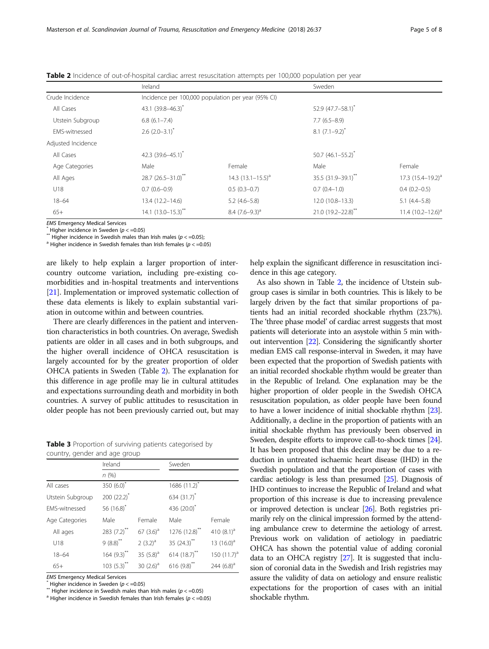|                      | Ireland                       |                                                    | Sweden                   |                          |  |  |
|----------------------|-------------------------------|----------------------------------------------------|--------------------------|--------------------------|--|--|
| Crude Incidence      |                               | Incidence per 100,000 population per year (95% CI) |                          |                          |  |  |
| All Cases            | 43.1 (39.8-46.3) <sup>*</sup> |                                                    |                          | 52.9 (47.7-58.1)*        |  |  |
| Utstein Subgroup     | $6.8(6.1 - 7.4)$              |                                                    |                          | $7.7(6.5-8.9)$           |  |  |
| <b>EMS-witnessed</b> | $2.6$ (2.0-3.1) <sup>*</sup>  |                                                    |                          | $8.1 (7.1 - 9.2)^{*}$    |  |  |
| Adjusted Incidence   |                               |                                                    |                          |                          |  |  |
| All Cases            | 42.3 $(39.6 - 45.1)^{*}$      |                                                    | $50.7(46.1 - 55.2)^{*}$  |                          |  |  |
| Age Categories       | Male                          | Female                                             | Male                     | Female                   |  |  |
| All Ages             | 28.7 $(26.5 - 31.0)^{**}$     | 14.3 $(13.1 - 15.5)^a$                             | 35.5 (31.9-39.1)**       | $17.3$ $(15.4 - 19.2)^a$ |  |  |
| U18                  | $0.7(0.6-0.9)$                | $0.5(0.3-0.7)$                                     | $0.7(0.4-1.0)$           | $0.4(0.2-0.5)$           |  |  |
| $18 - 64$            | 13.4 (12.2-14.6)              | $5.2(4.6-5.8)$                                     | 12.0 (10.8-13.3)         | $5.1(4.4-5.8)$           |  |  |
| $65+$                | $14.1 (13.0 - 15.3)^{**}$     | 8.4 $(7.6-9.3)$ <sup>a</sup>                       | $21.0(19.2 - 22.8)^{**}$ | $11.4(10.2 - 12.6)^a$    |  |  |

<span id="page-4-0"></span>Table 2 Incidence of out-of-hospital cardiac arrest resuscitation attempts per 100,000 population per year

EMS Emergency Medical Services<br>\* Higher incidence in Sweden ( $p < 0.05$ )<br>\*\* Higher incidence in Swedish males than Irish males ( $p < 0.05$ );<br><sup>a</sup> Higher incidence in Swedish females than Irish females ( $p < 0.05$ )

are likely to help explain a larger proportion of intercountry outcome variation, including pre-existing comorbidities and in-hospital treatments and interventions [[21](#page-6-0)]. Implementation or improved systematic collection of these data elements is likely to explain substantial variation in outcome within and between countries.

There are clearly differences in the patient and intervention characteristics in both countries. On average, Swedish patients are older in all cases and in both subgroups, and the higher overall incidence of OHCA resuscitation is largely accounted for by the greater proportion of older OHCA patients in Sweden (Table 2). The explanation for this difference in age profile may lie in cultural attitudes and expectations surrounding death and morbidity in both countries. A survey of public attitudes to resuscitation in older people has not been previously carried out, but may

Table 3 Proportion of surviving patients categorised by country, gender and age group

|                  | Ireland                |              | Sweden                     |                |  |
|------------------|------------------------|--------------|----------------------------|----------------|--|
|                  | n(%)                   |              |                            |                |  |
| All cases        | 350 $(6.0)^*$          |              | $1686(11.2)^{x}$           |                |  |
| Utstein Subgroup | $200(22.2)^{*}$        |              | 634 (31.7)*                |                |  |
| FMS-witnessed    | 56 $(16.8)^{*}$        |              | 436 (20.0)*                |                |  |
| Age Categories   | Male                   | Female       | Male                       | Female         |  |
| All ages         | 283 (7.2)**            | $67(3.6)^a$  | $1276(12.8)$ <sup>**</sup> | 410 $(8.1)^a$  |  |
| U18              | $9(8.8)$ <sup>**</sup> | $2(3.2)^a$   | 35 $(24.3)$ <sup>**</sup>  | 13 $(16.0)^a$  |  |
| $18 - 64$        | $164 (9.3)$ **         | 35 $(5.8)^a$ | 614 (18.7)**               | 150 $(11.7)^a$ |  |
| $65+$            | $103(5.3)$ **          | 30 $(2.6)^a$ | $616(9.8)$ **              | 244 $(6.8)^a$  |  |

EMS Emergency Medical Services<br>\* Higher incidence in Sweden ( $p < =0.05$ )<br>\*\* Higher incidence in Swedish males than Irish males ( $p < =0.05$ )<br><sup>a</sup> Higher incidence in Swedish females than Irish females ( $p < =0.05$ )

help explain the significant difference in resuscitation incidence in this age category.

As also shown in Table 2, the incidence of Utstein subgroup cases is similar in both countries. This is likely to be largely driven by the fact that similar proportions of patients had an initial recorded shockable rhythm (23.7%). The 'three phase model' of cardiac arrest suggests that most patients will deteriorate into an asystole within 5 min without intervention [[22](#page-6-0)]. Considering the significantly shorter median EMS call response-interval in Sweden, it may have been expected that the proportion of Swedish patients with an initial recorded shockable rhythm would be greater than in the Republic of Ireland. One explanation may be the higher proportion of older people in the Swedish OHCA resuscitation population, as older people have been found to have a lower incidence of initial shockable rhythm [\[23](#page-6-0)]. Additionally, a decline in the proportion of patients with an initial shockable rhythm has previously been observed in Sweden, despite efforts to improve call-to-shock times [\[24](#page-6-0)]. It has been proposed that this decline may be due to a reduction in untreated ischaemic heart disease (IHD) in the Swedish population and that the proportion of cases with cardiac aetiology is less than presumed [\[25\]](#page-6-0). Diagnosis of IHD continues to increase the Republic of Ireland and what proportion of this increase is due to increasing prevalence or improved detection is unclear [\[26\]](#page-7-0). Both registries primarily rely on the clinical impression formed by the attending ambulance crew to determine the aetiology of arrest. Previous work on validation of aetiology in paediatric OHCA has shown the potential value of adding coronial data to an OHCA registry [\[27\]](#page-7-0). It is suggested that inclusion of coronial data in the Swedish and Irish registries may assure the validity of data on aetiology and ensure realistic expectations for the proportion of cases with an initial shockable rhythm.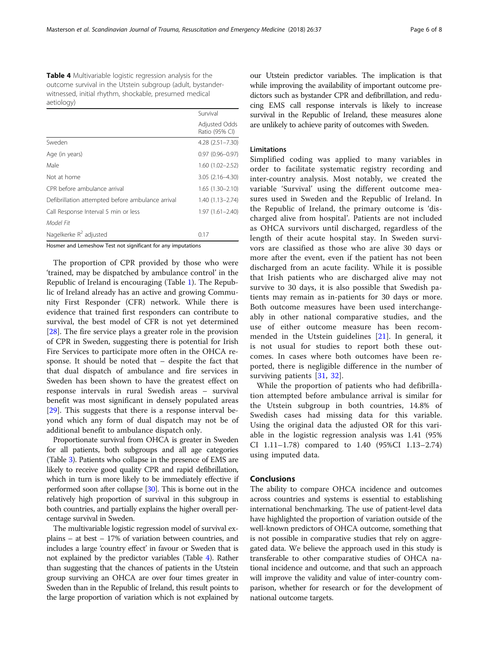<span id="page-5-0"></span>Table 4 Multivariable logistic regression analysis for the outcome survival in the Utstein subgroup (adult, bystanderwitnessed, initial rhythm, shockable, presumed medical aetiology)

|                                                   | Survival                        |
|---------------------------------------------------|---------------------------------|
|                                                   | Adjusted Odds<br>Ratio (95% CI) |
| Sweden                                            | 4.28 (2.51-7.30)                |
| Age (in years)                                    | $0.97(0.96 - 0.97)$             |
| Male                                              | $1.60(1.02 - 2.52)$             |
| Not at home                                       | 3.05 (2.16-4.30)                |
| CPR before ambulance arrival                      | $1.65(1.30 - 2.10)$             |
| Defibrillation attempted before ambulance arrival | 1.40 (1.13-2.74)                |
| Call Response Interval 5 min or less              | $1.97(1.61 - 2.40)$             |
| Model Fit                                         |                                 |
| Nagelkerke $R^2$ adjusted                         | 0.17                            |

Hosmer and Lemeshow Test not significant for any imputations

The proportion of CPR provided by those who were 'trained, may be dispatched by ambulance control' in the Republic of Ireland is encouraging (Table [1\)](#page-3-0). The Republic of Ireland already has an active and growing Community First Responder (CFR) network. While there is evidence that trained first responders can contribute to survival, the best model of CFR is not yet determined [[28\]](#page-7-0). The fire service plays a greater role in the provision of CPR in Sweden, suggesting there is potential for Irish Fire Services to participate more often in the OHCA response. It should be noted that – despite the fact that that dual dispatch of ambulance and fire services in Sweden has been shown to have the greatest effect on response intervals in rural Swedish areas – survival benefit was most significant in densely populated areas [[29\]](#page-7-0). This suggests that there is a response interval beyond which any form of dual dispatch may not be of additional benefit to ambulance dispatch only.

Proportionate survival from OHCA is greater in Sweden for all patients, both subgroups and all age categories (Table [3](#page-4-0)). Patients who collapse in the presence of EMS are likely to receive good quality CPR and rapid defibrillation, which in turn is more likely to be immediately effective if performed soon after collapse [\[30\]](#page-7-0). This is borne out in the relatively high proportion of survival in this subgroup in both countries, and partially explains the higher overall percentage survival in Sweden.

The multivariable logistic regression model of survival explains – at best – 17% of variation between countries, and includes a large 'country effect' in favour or Sweden that is not explained by the predictor variables (Table 4). Rather than suggesting that the chances of patients in the Utstein group surviving an OHCA are over four times greater in Sweden than in the Republic of Ireland, this result points to the large proportion of variation which is not explained by

our Utstein predictor variables. The implication is that while improving the availability of important outcome predictors such as bystander CPR and defibrillation, and reducing EMS call response intervals is likely to increase survival in the Republic of Ireland, these measures alone are unlikely to achieve parity of outcomes with Sweden.

# Limitations

Simplified coding was applied to many variables in order to facilitate systematic registry recording and inter-country analysis. Most notably, we created the variable 'Survival' using the different outcome measures used in Sweden and the Republic of Ireland. In the Republic of Ireland, the primary outcome is 'discharged alive from hospital'. Patients are not included as OHCA survivors until discharged, regardless of the length of their acute hospital stay. In Sweden survivors are classified as those who are alive 30 days or more after the event, even if the patient has not been discharged from an acute facility. While it is possible that Irish patients who are discharged alive may not survive to 30 days, it is also possible that Swedish patients may remain as in-patients for 30 days or more. Both outcome measures have been used interchangeably in other national comparative studies, and the use of either outcome measure has been recommended in the Utstein guidelines [[21\]](#page-6-0). In general, it is not usual for studies to report both these outcomes. In cases where both outcomes have been reported, there is negligible difference in the number of surviving patients [[31,](#page-7-0) [32](#page-7-0)].

While the proportion of patients who had defibrillation attempted before ambulance arrival is similar for the Utstein subgroup in both countries, 14.8% of Swedish cases had missing data for this variable. Using the original data the adjusted OR for this variable in the logistic regression analysis was 1.41 (95% CI 1.11–1.78) compared to 1.40 (95%CI 1.13–2.74) using imputed data.

# Conclusions

The ability to compare OHCA incidence and outcomes across countries and systems is essential to establishing international benchmarking. The use of patient-level data have highlighted the proportion of variation outside of the well-known predictors of OHCA outcome, something that is not possible in comparative studies that rely on aggregated data. We believe the approach used in this study is transferable to other comparative studies of OHCA national incidence and outcome, and that such an approach will improve the validity and value of inter-country comparison, whether for research or for the development of national outcome targets.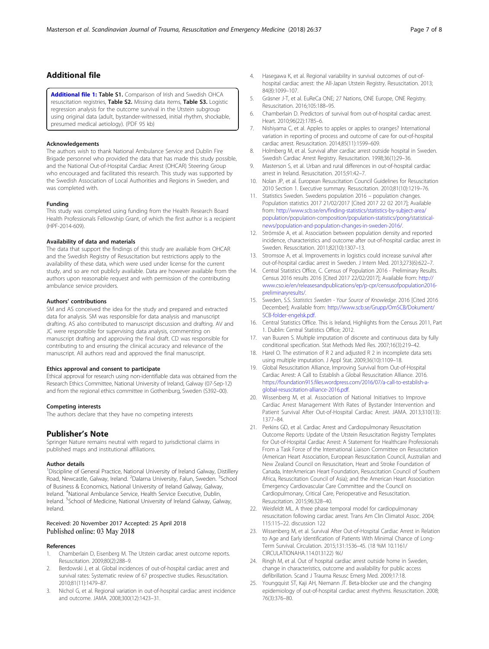# <span id="page-6-0"></span>Additional file

[Additional file 1:](https://doi.org/10.1186/s13049-018-0505-2) Table S1. Comparison of Irish and Swedish OHCA resuscitation registries, Table S2. Missing data items, Table S3. Logistic regression analysis for the outcome survival in the Utstein subgroup using original data (adult, bystander-witnessed, initial rhythm, shockable, presumed medical aetiology). (PDF 95 kb)

#### Acknowledgements

The authors wish to thank National Ambulance Service and Dublin Fire Brigade personnel who provided the data that has made this study possible, and the National Out-of-Hospital Cardiac Arrest (OHCAR) Steering Group who encouraged and facilitated this research. This study was supported by the Swedish Association of Local Authorities and Regions in Sweden, and was completed with.

#### Funding

This study was completed using funding from the Health Research Board Health Professionals Fellowship Grant, of which the first author is a recipient (HPF-2014-609).

#### Availability of data and materials

The data that support the findings of this study are available from OHCAR and the Swedish Registry of Resuscitation but restrictions apply to the availability of these data, which were used under license for the current study, and so are not publicly available. Data are however available from the authors upon reasonable request and with permission of the contributing ambulance service providers.

#### Authors' contributions

SM and AS conceived the idea for the study and prepared and extracted data for analysis. SM was responsible for data analysis and manuscript drafting. AS also contributed to manuscript discussion and drafting. AV and JC were responsible for supervising data analysis, commenting on manuscript drafting and approving the final draft. CD was responsible for contributing to and ensuring the clinical accuracy and relevance of the manuscript. All authors read and approved the final manuscript.

#### Ethics approval and consent to participate

Ethical approval for research using non-identifiable data was obtained from the Research Ethics Committee, National University of Ireland, Galway (07-Sep-12) and from the regional ethics committee in Gothenburg, Sweden (S392–00).

#### Competing interests

The authors declare that they have no competing interests

#### Publisher's Note

Springer Nature remains neutral with regard to jurisdictional claims in published maps and institutional affiliations.

#### Author details

<sup>1</sup>Discipline of General Practice, National University of Ireland Galway, Distillery Road, Newcastle, Galway, Ireland. <sup>2</sup>Dalarna University, Falun, Sweden. <sup>3</sup>School of Business & Economics, National University of Ireland Galway, Galway, Ireland. <sup>4</sup>National Ambulance Service, Health Service Executive, Dublin, Ireland. <sup>5</sup>School of Medicine, National University of Ireland Galway, Galway, Ireland.

#### Received: 20 November 2017 Accepted: 25 April 2018 Published online: 03 May 2018

#### References

- 1. Chamberlain D, Eisenberg M. The Utstein cardiac arrest outcome reports. Resuscitation. 2009;80(2):288–9.
- Berdowski J, et al. Global incidences of out-of-hospital cardiac arrest and survival rates: Systematic review of 67 prospective studies. Resuscitation. 2010;81(11):1479–87.
- 3. Nichol G, et al. Regional variation in out-of-hospital cardiac arrest incidence and outcome. JAMA. 2008;300(12):1423–31.
- 4. Hasegawa K, et al. Regional variability in survival outcomes of out-ofhospital cardiac arrest: the All-Japan Utstein Registry. Resuscitation. 2013; 84(8):1099–107.
- 5. Gräsner J-T, et al. EuReCa ONE; 27 Nations, ONE Europe, ONE Registry. Resuscitation. 2016;105:188–95.
- 6. Chamberlain D. Predictors of survival from out-of-hospital cardiac arrest. Heart. 2010;96(22):1785–6.
- 7. Nishiyama C, et al. Apples to apples or apples to oranges? International variation in reporting of process and outcome of care for out-of-hospital cardiac arrest. Resuscitation. 2014;85(11):1599–609.
- Holmberg M, et al. Survival after cardiac arrest outside hospital in Sweden. Swedish Cardiac Arrest Registry. Resuscitation. 1998;36(1):29–36.
- 9. Masterson S, et al. Urban and rural differences in out-of-hospital cardiac arrest in Ireland. Resuscitation. 2015;91:42–7.
- 10. Nolan JP, et al. European Resuscitation Council Guidelines for Resuscitation 2010 Section 1. Executive summary. Resuscitation. 2010;81(10):1219–76.
- 11. Statistics Sweden. Swedens population 2016 population changes. Population statistics 2017 21/02/2017 [Cited 2017 22 02 2017]; Available from: [http://www.scb.se/en/finding-statistics/statistics-by-subject-area/](http://www.scb.se/en/finding-statistics/statistics-by-subject-area/population/population-composition/population-statistics/pong/statistical-news/population-and-population-changes-in-sweden-2016/) [population/population-composition/population-statistics/pong/statistical](http://www.scb.se/en/finding-statistics/statistics-by-subject-area/population/population-composition/population-statistics/pong/statistical-news/population-and-population-changes-in-sweden-2016/)[news/population-and-population-changes-in-sweden-2016/.](http://www.scb.se/en/finding-statistics/statistics-by-subject-area/population/population-composition/population-statistics/pong/statistical-news/population-and-population-changes-in-sweden-2016/)
- 12. Strömsöe A, et al. Association between population density and reported incidence, characteristics and outcome after out-of-hospital cardiac arrest in Sweden. Resuscitation. 2011;82(10):1307–13.
- 13. Stromsoe A, et al. Improvements in logistics could increase survival after out-of-hospital cardiac arrest in Sweden. J Intern Med. 2013;273(6):622–7.
- 14. Central Statistics Office, C. Census of Population 2016 Preliminary Results. Census 2016 results 2016 [Cited 2017 22/02/2017]; Available from: [http://](http://www.cso.ie/en/releasesandpublications/ep/p-cpr/censusofpopulation2016-preliminaryresults/) [www.cso.ie/en/releasesandpublications/ep/p-cpr/censusofpopulation2016](http://www.cso.ie/en/releasesandpublications/ep/p-cpr/censusofpopulation2016-preliminaryresults/) [preliminaryresults/.](http://www.cso.ie/en/releasesandpublications/ep/p-cpr/censusofpopulation2016-preliminaryresults/)
- 15. Sweden, S.S. Statistics Sweden Your Source of Knowledge. 2016 [Cited 2016 December]; Available from: [http://www.scb.se/Grupp/OmSCB/Dokument/](http://www.scb.se/Grupp/OmSCB/Dokument/SCB-folder-engelsk.pdf) [SCB-folder-engelsk.pdf](http://www.scb.se/Grupp/OmSCB/Dokument/SCB-folder-engelsk.pdf).
- 16. Central Statistics Office. This is Ireland, Highlights from the Census 2011, Part 1. Dublin: Central Statistics Office; 2012.
- 17. van Buuren S. Multiple imputation of discrete and continuous data by fully conditional specification. Stat Methods Med Res. 2007;16(3):219–42.
- 18. Harel O. The estimation of R 2 and adjusted R 2 in incomplete data sets using multiple imputation. J Appl Stat. 2009;36(10):1109–18.
- 19. Global Resuscitation Alliance, Improving Survival from Out-of-Hospital Cardiac Arrest: A Call to Establish a Global Resuscitation Alliance. 2016. [https://foundation915.files.wordpress.com/2016/07/a-call-to-establish-a](https://foundation915.files.wordpress.com/2016/07/a-call-to-establish-a-global-resuscitation-alliance-2016.pdf)[global-resuscitation-alliance-2016.pdf.](https://foundation915.files.wordpress.com/2016/07/a-call-to-establish-a-global-resuscitation-alliance-2016.pdf)
- 20. Wissenberg M, et al. Association of National Initiatives to Improve Cardiac Arrest Management With Rates of Bystander Intervention and Patient Survival After Out-of-Hospital Cardiac Arrest. JAMA. 2013;310(13): 1377–84.
- 21. Perkins GD, et al. Cardiac Arrest and Cardiopulmonary Resuscitation Outcome Reports: Update of the Utstein Resuscitation Registry Templates for Out-of-Hospital Cardiac Arrest: A Statement for Healthcare Professionals From a Task Force of the International Liaison Committee on Resuscitation (American Heart Association, European Resuscitation Council, Australian and New Zealand Council on Resuscitation, Heart and Stroke Foundation of Canada, InterAmerican Heart Foundation, Resuscitation Council of Southern Africa, Resuscitation Council of Asia); and the American Heart Association Emergency Cardiovascular Care Committee and the Council on Cardiopulmonary, Critical Care, Perioperative and Resuscitation. Resuscitation. 2015;96:328–40.
- 22. Weisfeldt ML. A three phase temporal model for cardiopulmonary resuscitation following cardiac arrest. Trans Am Clin Climatol Assoc. 2004; 115:115–22. discussion 122
- 23. Wissenberg M, et al. Survival After Out-of-Hospital Cardiac Arrest in Relation to Age and Early Identification of Patients With Minimal Chance of Long-Term Survival. Circulation. 2015;131:1536–45. (18 %M 10.1161/ CIRCULATIONAHA.114.013122) %U
- 24. Ringh M, et al. Out of hospital cardiac arrest outside home in Sweden, change in characteristics, outcome and availability for public access defibrillation. Scand J Trauma Resusc Emerg Med. 2009;17:18.
- 25. Youngquist ST, Kaji AH, Niemann JT. Beta-blocker use and the changing epidemiology of out-of-hospital cardiac arrest rhythms. Resuscitation. 2008; 76(3):376–80.